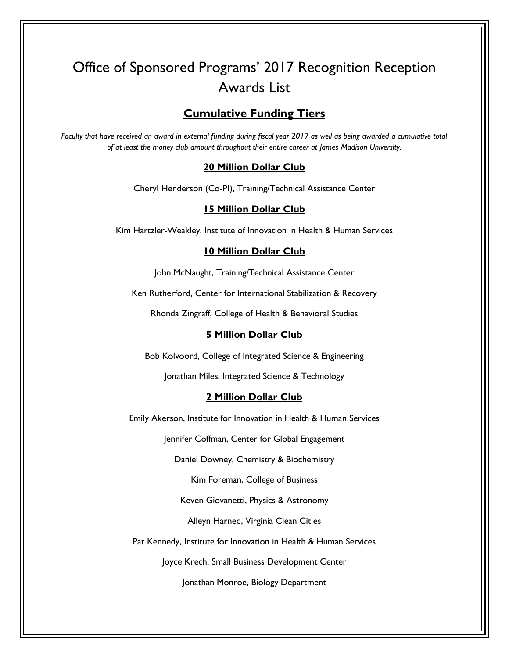# Office of Sponsored Programs' 2017 Recognition Reception Awards List

# **Cumulative Funding Tiers**

*Faculty that have received an award in external funding during fiscal year 2017 as well as being awarded a cumulative total of at least the money club amount throughout their entire career at James Madison University.* 

## **20 Million Dollar Club**

Cheryl Henderson (Co-PI), Training/Technical Assistance Center

# **15 Million Dollar Club**

Kim Hartzler-Weakley, Institute of Innovation in Health & Human Services

## **10 Million Dollar Club**

John McNaught, Training/Technical Assistance Center

Ken Rutherford, Center for International Stabilization & Recovery

Rhonda Zingraff, College of Health & Behavioral Studies

## **5 Million Dollar Club**

Bob Kolvoord, College of Integrated Science & Engineering

Jonathan Miles, Integrated Science & Technology

## **2 Million Dollar Club**

Emily Akerson, Institute for Innovation in Health & Human Services

Jennifer Coffman, Center for Global Engagement

Daniel Downey, Chemistry & Biochemistry

Kim Foreman, College of Business

Keven Giovanetti, Physics & Astronomy

Alleyn Harned, Virginia Clean Cities

Pat Kennedy, Institute for Innovation in Health & Human Services

Joyce Krech, Small Business Development Center

Jonathan Monroe, Biology Department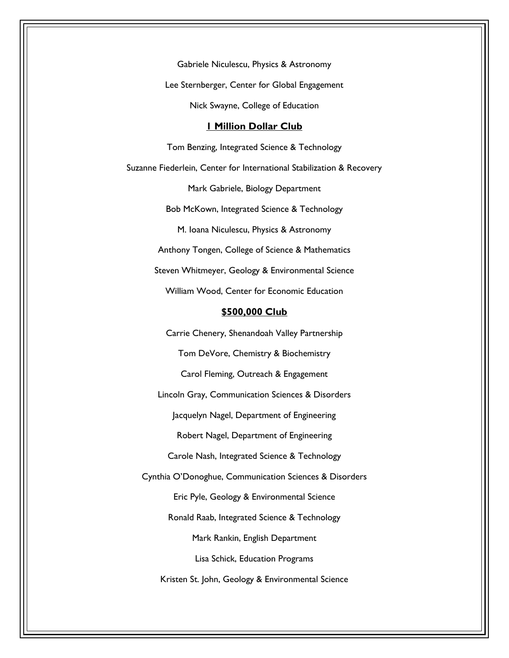Gabriele Niculescu, Physics & Astronomy Lee Sternberger, Center for Global Engagement Nick Swayne, College of Education

#### **1 Million Dollar Club**

Tom Benzing, Integrated Science & Technology Suzanne Fiederlein, Center for International Stabilization & Recovery Mark Gabriele, Biology Department Bob McKown, Integrated Science & Technology M. Ioana Niculescu, Physics & Astronomy Anthony Tongen, College of Science & Mathematics Steven Whitmeyer, Geology & Environmental Science William Wood, Center for Economic Education **\$500,000 Club**  Carrie Chenery, Shenandoah Valley Partnership Tom DeVore, Chemistry & Biochemistry Carol Fleming, Outreach & Engagement Lincoln Gray, Communication Sciences & Disorders Jacquelyn Nagel, Department of Engineering Robert Nagel, Department of Engineering Carole Nash, Integrated Science & Technology Cynthia O'Donoghue, Communication Sciences & Disorders Eric Pyle, Geology & Environmental Science Ronald Raab, Integrated Science & Technology Mark Rankin, English Department Lisa Schick, Education Programs Kristen St. John, Geology & Environmental Science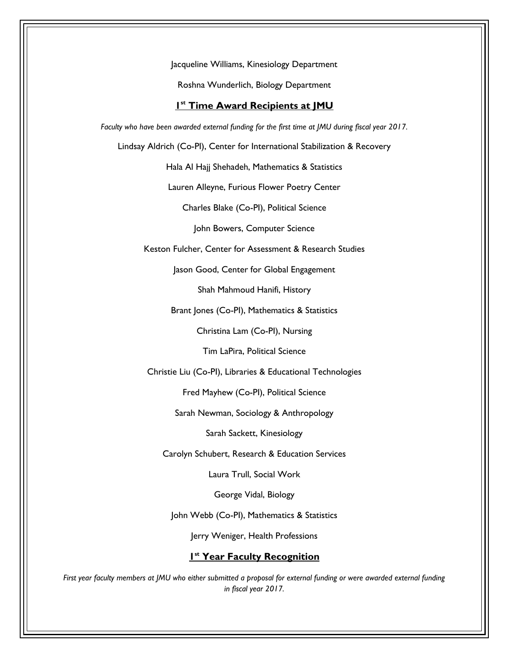Jacqueline Williams, Kinesiology Department

Roshna Wunderlich, Biology Department

## **1 st Time Award Recipients at JMU**

*Faculty who have been awarded external funding for the first time at JMU during fiscal year 2017.* 

Lindsay Aldrich (Co-PI), Center for International Stabilization & Recovery

Hala Al Hajj Shehadeh, Mathematics & Statistics

Lauren Alleyne, Furious Flower Poetry Center

Charles Blake (Co-PI), Political Science

John Bowers, Computer Science

Keston Fulcher, Center for Assessment & Research Studies

Jason Good, Center for Global Engagement

Shah Mahmoud Hanifi, History

Brant Jones (Co-PI), Mathematics & Statistics

Christina Lam (Co-PI), Nursing

Tim LaPira, Political Science

Christie Liu (Co-PI), Libraries & Educational Technologies

Fred Mayhew (Co-PI), Political Science

Sarah Newman, Sociology & Anthropology

Sarah Sackett, Kinesiology

Carolyn Schubert, Research & Education Services

Laura Trull, Social Work

George Vidal, Biology

John Webb (Co-PI), Mathematics & Statistics

Jerry Weniger, Health Professions

## **1 st Year Faculty Recognition**

*First year faculty members at JMU who either submitted a proposal for external funding or were awarded external funding in fiscal year 2017.*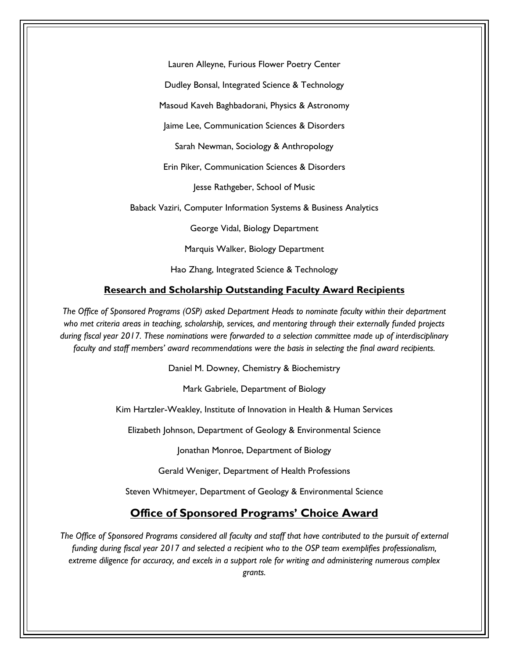Lauren Alleyne, Furious Flower Poetry Center

Dudley Bonsal, Integrated Science & Technology

Masoud Kaveh Baghbadorani, Physics & Astronomy

Jaime Lee, Communication Sciences & Disorders

Sarah Newman, Sociology & Anthropology

Erin Piker, Communication Sciences & Disorders

Jesse Rathgeber, School of Music

Baback Vaziri, Computer Information Systems & Business Analytics

George Vidal, Biology Department

Marquis Walker, Biology Department

Hao Zhang, Integrated Science & Technology

#### **Research and Scholarship Outstanding Faculty Award Recipients**

*The Office of Sponsored Programs (OSP) asked Department Heads to nominate faculty within their department who met criteria areas in teaching, scholarship, services, and mentoring through their externally funded projects during fiscal year 2017. These nominations were forwarded to a selection committee made up of interdisciplinary faculty and staff members' award recommendations were the basis in selecting the final award recipients.* 

Daniel M. Downey, Chemistry & Biochemistry

Mark Gabriele, Department of Biology

Kim Hartzler-Weakley, Institute of Innovation in Health & Human Services

Elizabeth Johnson, Department of Geology & Environmental Science

Jonathan Monroe, Department of Biology

Gerald Weniger, Department of Health Professions

Steven Whitmeyer, Department of Geology & Environmental Science

## **Office of Sponsored Programs' Choice Award**

*The Office of Sponsored Programs considered all faculty and staff that have contributed to the pursuit of external funding during fiscal year 2017 and selected a recipient who to the OSP team exemplifies professionalism, extreme diligence for accuracy, and excels in a support role for writing and administering numerous complex grants.*